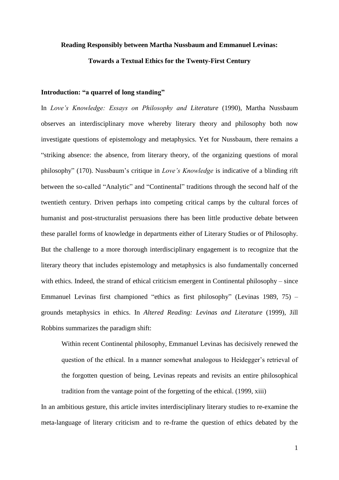# **Reading Responsibly between Martha Nussbaum and Emmanuel Levinas: Towards a Textual Ethics for the Twenty-First Century**

## **Introduction: "a quarrel of long standing"**

In *Love's Knowledge: Essays on Philosophy and Literature* (1990), Martha Nussbaum observes an interdisciplinary move whereby literary theory and philosophy both now investigate questions of epistemology and metaphysics. Yet for Nussbaum, there remains a "striking absence: the absence, from literary theory, of the organizing questions of moral philosophy" (170). Nussbaum's critique in *Love's Knowledge* is indicative of a blinding rift between the so-called "Analytic" and "Continental" traditions through the second half of the twentieth century. Driven perhaps into competing critical camps by the cultural forces of humanist and post-structuralist persuasions there has been little productive debate between these parallel forms of knowledge in departments either of Literary Studies or of Philosophy. But the challenge to a more thorough interdisciplinary engagement is to recognize that the literary theory that includes epistemology and metaphysics is also fundamentally concerned with ethics. Indeed, the strand of ethical criticism emergent in Continental philosophy – since Emmanuel Levinas first championed "ethics as first philosophy" (Levinas 1989, 75) – grounds metaphysics in ethics. In *Altered Reading: Levinas and Literature* (1999), Jill Robbins summarizes the paradigm shift:

Within recent Continental philosophy, Emmanuel Levinas has decisively renewed the question of the ethical. In a manner somewhat analogous to Heidegger's retrieval of the forgotten question of being, Levinas repeats and revisits an entire philosophical tradition from the vantage point of the forgetting of the ethical. (1999, xiii)

In an ambitious gesture, this article invites interdisciplinary literary studies to re-examine the meta-language of literary criticism and to re-frame the question of ethics debated by the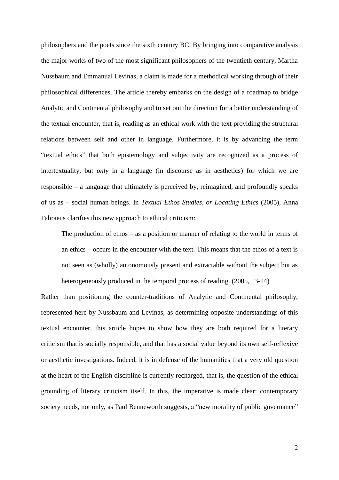philosophers and the poets since the sixth century BC. By bringing into comparative analysis the major works of two of the most significant philosophers of the twentieth century, Martha Nussbaum and Emmanual Levinas, a claim is made for a methodical working through of their philosophical differences. The article thereby embarks on the design of a roadmap to bridge Analytic and Continental philosophy and to set out the direction for a better understanding of the textual encounter, that is, reading as an ethical work with the text providing the structural relations between self and other in language. Furthermore, it is by advancing the term "textual ethics" that both epistemology and subjectivity are recognized as a process of intertextuality, but *only* in a language (in discourse as in aesthetics) for which we are responsible – a language that ultimately is perceived by, reimagined, and profoundly speaks of us as – social human beings. In *Textual Ethos Studies, or Locating Ethics* (2005), Anna Fahraeus clarifies this new approach to ethical criticism:

The production of ethos – as a position or manner of relating to the world in terms of an ethics – occurs in the encounter with the text. This means that the ethos of a text is not seen as (wholly) autonomously present and extractable without the subject but as heterogeneously produced in the temporal process of reading. (2005, 13-14)

Rather than positioning the counter-traditions of Analytic and Continental philosophy, represented here by Nussbaum and Levinas, as determining opposite understandings of this textual encounter, this article hopes to show how they are both required for a literary criticism that is socially responsible, and that has a social value beyond its own self-reflexive or aesthetic investigations. Indeed, it is in defense of the humanities that a very old question at the heart of the English discipline is currently recharged, that is, the question of the ethical grounding of literary criticism itself. In this, the imperative is made clear: contemporary society needs, not only, as Paul Benneworth suggests, a "new morality of public governance"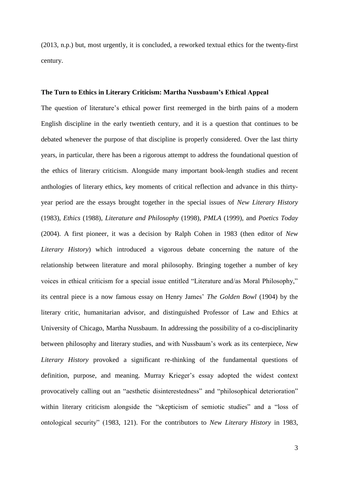(2013, n.p.) but, most urgently, it is concluded, a reworked textual ethics for the twenty-first century.

#### **The Turn to Ethics in Literary Criticism: Martha Nussbaum's Ethical Appeal**

The question of literature's ethical power first reemerged in the birth pains of a modern English discipline in the early twentieth century, and it is a question that continues to be debated whenever the purpose of that discipline is properly considered. Over the last thirty years, in particular, there has been a rigorous attempt to address the foundational question of the ethics of literary criticism. Alongside many important book-length studies and recent anthologies of literary ethics, key moments of critical reflection and advance in this thirtyyear period are the essays brought together in the special issues of *New Literary History* (1983), *Ethics* (1988), *Literature and Philosophy* (1998), *PMLA* (1999), and *Poetics Today* (2004). A first pioneer, it was a decision by Ralph Cohen in 1983 (then editor of *New Literary History*) which introduced a vigorous debate concerning the nature of the relationship between literature and moral philosophy. Bringing together a number of key voices in ethical criticism for a special issue entitled "Literature and/as Moral Philosophy," its central piece is a now famous essay on Henry James' *The Golden Bowl* (1904) by the literary critic, humanitarian advisor, and distinguished Professor of Law and Ethics at University of Chicago, Martha Nussbaum. In addressing the possibility of a co-disciplinarity between philosophy and literary studies, and with Nussbaum's work as its centerpiece, *New Literary History* provoked a significant re-thinking of the fundamental questions of definition, purpose, and meaning. Murray Krieger's essay adopted the widest context provocatively calling out an "aesthetic disinterestedness" and "philosophical deterioration" within literary criticism alongside the "skepticism of semiotic studies" and a "loss of ontological security" (1983, 121). For the contributors to *New Literary History* in 1983,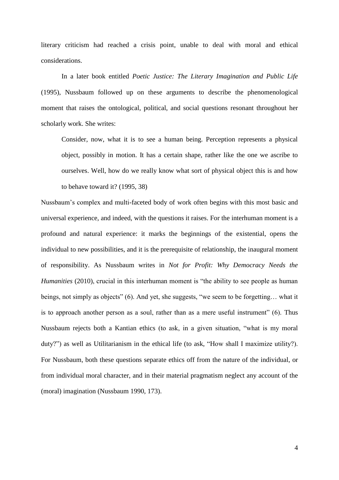literary criticism had reached a crisis point, unable to deal with moral and ethical considerations.

In a later book entitled *Poetic Justice: The Literary Imagination and Public Life* (1995), Nussbaum followed up on these arguments to describe the phenomenological moment that raises the ontological, political, and social questions resonant throughout her scholarly work. She writes:

Consider, now, what it is to see a human being. Perception represents a physical object, possibly in motion. It has a certain shape, rather like the one we ascribe to ourselves. Well, how do we really know what sort of physical object this is and how to behave toward it? (1995, 38)

Nussbaum's complex and multi-faceted body of work often begins with this most basic and universal experience, and indeed, with the questions it raises. For the interhuman moment is a profound and natural experience: it marks the beginnings of the existential, opens the individual to new possibilities, and it is the prerequisite of relationship, the inaugural moment of responsibility. As Nussbaum writes in *Not for Profit: Why Democracy Needs the Humanities* (2010), crucial in this interhuman moment is "the ability to see people as human beings, not simply as objects" (6). And yet, she suggests, "we seem to be forgetting… what it is to approach another person as a soul, rather than as a mere useful instrument" (6). Thus Nussbaum rejects both a Kantian ethics (to ask, in a given situation, "what is my moral duty?") as well as Utilitarianism in the ethical life (to ask, "How shall I maximize utility?). For Nussbaum, both these questions separate ethics off from the nature of the individual, or from individual moral character, and in their material pragmatism neglect any account of the (moral) imagination (Nussbaum 1990, 173).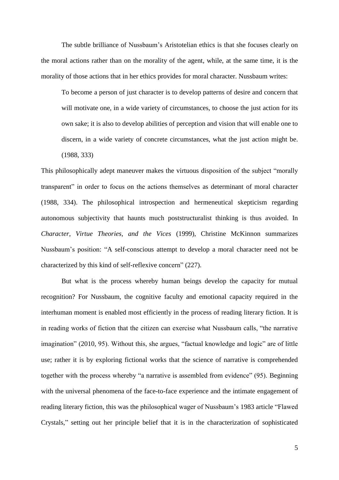The subtle brilliance of Nussbaum's Aristotelian ethics is that she focuses clearly on the moral actions rather than on the morality of the agent, while, at the same time, it is the morality of those actions that in her ethics provides for moral character. Nussbaum writes:

To become a person of just character is to develop patterns of desire and concern that will motivate one, in a wide variety of circumstances, to choose the just action for its own sake; it is also to develop abilities of perception and vision that will enable one to discern, in a wide variety of concrete circumstances, what the just action might be. (1988, 333)

This philosophically adept maneuver makes the virtuous disposition of the subject "morally transparent" in order to focus on the actions themselves as determinant of moral character (1988, 334). The philosophical introspection and hermeneutical skepticism regarding autonomous subjectivity that haunts much poststructuralist thinking is thus avoided. In *Character, Virtue Theories, and the Vices* (1999)*,* Christine McKinnon summarizes Nussbaum's position: "A self-conscious attempt to develop a moral character need not be characterized by this kind of self-reflexive concern" (227).

But what is the process whereby human beings develop the capacity for mutual recognition? For Nussbaum, the cognitive faculty and emotional capacity required in the interhuman moment is enabled most efficiently in the process of reading literary fiction. It is in reading works of fiction that the citizen can exercise what Nussbaum calls, "the narrative imagination" (2010, 95). Without this, she argues, "factual knowledge and logic" are of little use; rather it is by exploring fictional works that the science of narrative is comprehended together with the process whereby "a narrative is assembled from evidence" (95). Beginning with the universal phenomena of the face-to-face experience and the intimate engagement of reading literary fiction, this was the philosophical wager of Nussbaum's 1983 article "Flawed Crystals," setting out her principle belief that it is in the characterization of sophisticated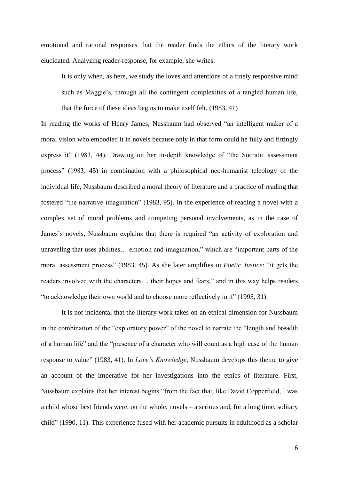emotional and rational responses that the reader finds the ethics of the literary work elucidated. Analyzing reader-response, for example, she writes:

It is only when, as here, we study the loves and attentions of a finely responsive mind such as Maggie's, through all the contingent complexities of a tangled human life, that the force of these ideas begins to make itself felt. (1983, 41)

In reading the works of Henry James, Nussbaum had observed "an intelligent maker of a moral vision who embodied it in novels because only in that form could he fully and fittingly express it" (1983, 44). Drawing on her in-depth knowledge of "the Socratic assessment process" (1983, 45) in combination with a philosophical neo-humanist teleology of the individual life, Nussbaum described a moral theory of literature and a practice of reading that fostered "the narrative imagination" (1983, 95). In the experience of reading a novel with a complex set of moral problems and competing personal involvements, as in the case of James's novels, Nussbaum explains that there is required "an activity of exploration and unraveling that uses abilities… emotion and imagination," which are "important parts of the moral assessment process" (1983, 45). As she later amplifies in *Poetic Justice*: "it gets the readers involved with the characters… their hopes and fears," and in this way helps readers "to acknowledge their own world and to choose more reflectively in it" (1995, 31).

It is not incidental that the literary work takes on an ethical dimension for Nussbaum in the combination of the "exploratory power" of the novel to narrate the "length and breadth of a human life" and the "presence of a character who will count as a high case of the human response to value" (1983, 41). In *Love's Knowledge*, Nussbaum develops this theme to give an account of the imperative for her investigations into the ethics of literature. First, Nussbaum explains that her interest begins "from the fact that, like David Copperfield, I was a child whose best friends were, on the whole, novels – a serious and, for a long time, solitary child" (1990, 11). This experience fused with her academic pursuits in adulthood as a scholar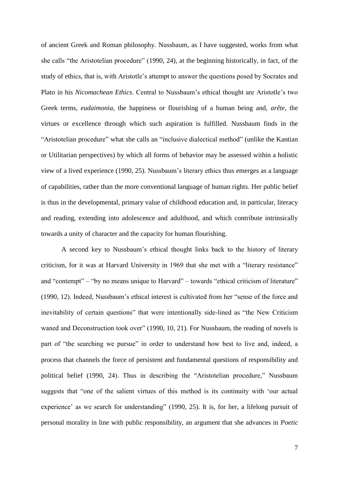of ancient Greek and Roman philosophy. Nussbaum, as I have suggested, works from what she calls "the Aristotelian procedure" (1990, 24), at the beginning historically, in fact, of the study of ethics, that is, with Aristotle's attempt to answer the questions posed by Socrates and Plato in his *Nicomachean Ethics*. Central to Nussbaum's ethical thought are Aristotle's two Greek terms, *eudaimonia*, the happiness or flourishing of a human being and, *arête*, the virtues or excellence through which such aspiration is fulfilled. Nussbaum finds in the "Aristotelian procedure" what she calls an "inclusive dialectical method" (unlike the Kantian or Utilitarian perspectives) by which all forms of behavior may be assessed within a holistic view of a lived experience (1990, 25). Nussbaum's literary ethics thus emerges as a language of capabilities, rather than the more conventional language of human rights. Her public belief is thus in the developmental, primary value of childhood education and, in particular, literacy and reading, extending into adolescence and adulthood, and which contribute intrinsically towards a unity of character and the capacity for human flourishing.

 A second key to Nussbaum's ethical thought links back to the history of literary criticism, for it was at Harvard University in 1969 that she met with a "literary resistance" and "contempt" – "by no means unique to Harvard" – towards "ethical criticism of literature" (1990, 12). Indeed, Nussbaum's ethical interest is cultivated from her "sense of the force and inevitability of certain questions" that were intentionally side-lined as "the New Criticism waned and Deconstruction took over" (1990, 10, 21). For Nussbaum, the reading of novels is part of "the searching we pursue" in order to understand how best to live and, indeed, a process that channels the force of persistent and fundamental questions of responsibility and political belief (1990, 24). Thus in describing the "Aristotelian procedure," Nussbaum suggests that "one of the salient virtues of this method is its continuity with 'our actual experience' as we search for understanding" (1990, 25). It is, for her, a lifelong pursuit of personal morality in line with public responsibility, an argument that she advances in *Poetic*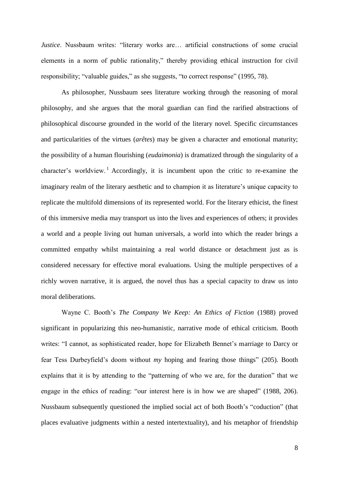*Justice*. Nussbaum writes: "literary works are... artificial constructions of some crucial elements in a norm of public rationality," thereby providing ethical instruction for civil responsibility; "valuable guides," as she suggests, "to correct response" (1995, 78).

As philosopher, Nussbaum sees literature working through the reasoning of moral philosophy, and she argues that the moral guardian can find the rarified abstractions of philosophical discourse grounded in the world of the literary novel. Specific circumstances and particularities of the virtues (*arêtes*) may be given a character and emotional maturity; the possibility of a human flourishing (*eudaimonia*) is dramatized through the singularity of a character's worldview.<sup>1</sup> Accordingly, it is incumbent upon the critic to re-examine the imaginary realm of the literary aesthetic and to champion it as literature's unique capacity to replicate the multifold dimensions of its represented world. For the literary ethicist, the finest of this immersive media may transport us into the lives and experiences of others; it provides a world and a people living out human universals, a world into which the reader brings a committed empathy whilst maintaining a real world distance or detachment just as is considered necessary for effective moral evaluations. Using the multiple perspectives of a richly woven narrative, it is argued, the novel thus has a special capacity to draw us into moral deliberations.

Wayne C. Booth's *The Company We Keep: An Ethics of Fiction* (1988) proved significant in popularizing this neo-humanistic, narrative mode of ethical criticism*.* Booth writes: "I cannot, as sophisticated reader, hope for Elizabeth Bennet's marriage to Darcy or fear Tess Durbeyfield's doom without *my* hoping and fearing those things" (205). Booth explains that it is by attending to the "patterning of who we are, for the duration" that we engage in the ethics of reading: "our interest here is in how we are shaped" (1988, 206). Nussbaum subsequently questioned the implied social act of both Booth's "coduction" (that places evaluative judgments within a nested intertextuality), and his metaphor of friendship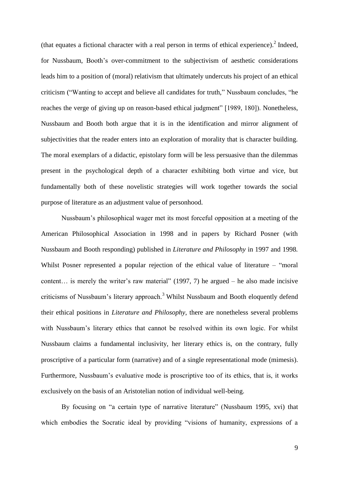(that equates a fictional character with a real person in terms of ethical experience). $2$  Indeed, for Nussbaum, Booth's over-commitment to the subjectivism of aesthetic considerations leads him to a position of (moral) relativism that ultimately undercuts his project of an ethical criticism ("Wanting to accept and believe all candidates for truth," Nussbaum concludes, "he reaches the verge of giving up on reason-based ethical judgment" [1989, 180]). Nonetheless, Nussbaum and Booth both argue that it is in the identification and mirror alignment of subjectivities that the reader enters into an exploration of morality that is character building. The moral exemplars of a didactic, epistolary form will be less persuasive than the dilemmas present in the psychological depth of a character exhibiting both virtue and vice, but fundamentally both of these novelistic strategies will work together towards the social purpose of literature as an adjustment value of personhood.

Nussbaum's philosophical wager met its most forceful opposition at a meeting of the American Philosophical Association in 1998 and in papers by Richard Posner (with Nussbaum and Booth responding) published in *Literature and Philosophy* in 1997 and 1998*.*  Whilst Posner represented a popular rejection of the ethical value of literature – "moral" content… is merely the writer's raw material" (1997, 7) he argued – he also made incisive criticisms of Nussbaum's literary approach.<sup>3</sup> Whilst Nussbaum and Booth eloquently defend their ethical positions in *Literature and Philosophy*, there are nonetheless several problems with Nussbaum's literary ethics that cannot be resolved within its own logic. For whilst Nussbaum claims a fundamental inclusivity, her literary ethics is, on the contrary, fully proscriptive of a particular form (narrative) and of a single representational mode (mimesis). Furthermore, Nussbaum's evaluative mode is proscriptive too of its ethics, that is, it works exclusively on the basis of an Aristotelian notion of individual well-being.

By focusing on "a certain type of narrative literature" (Nussbaum 1995, xvi) that which embodies the Socratic ideal by providing "visions of humanity, expressions of a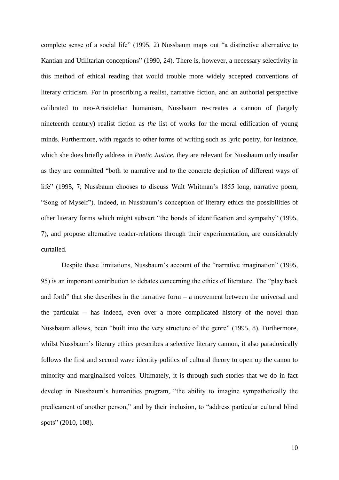complete sense of a social life" (1995, 2) Nussbaum maps out "a distinctive alternative to Kantian and Utilitarian conceptions" (1990, 24). There is, however, a necessary selectivity in this method of ethical reading that would trouble more widely accepted conventions of literary criticism. For in proscribing a realist, narrative fiction, and an authorial perspective calibrated to neo-Aristotelian humanism, Nussbaum re-creates a cannon of (largely nineteenth century) realist fiction as *the* list of works for the moral edification of young minds. Furthermore, with regards to other forms of writing such as lyric poetry, for instance, which she does briefly address in *Poetic Justice*, they are relevant for Nussbaum only insofar as they are committed "both to narrative and to the concrete depiction of different ways of life" (1995, 7; Nussbaum chooses to discuss Walt Whitman's 1855 long, narrative poem, "Song of Myself"). Indeed, in Nussbaum's conception of literary ethics the possibilities of other literary forms which might subvert "the bonds of identification and sympathy" (1995, 7), and propose alternative reader-relations through their experimentation, are considerably curtailed.

Despite these limitations, Nussbaum's account of the "narrative imagination" (1995, 95) is an important contribution to debates concerning the ethics of literature. The "play back and forth" that she describes in the narrative form  $-$  a movement between the universal and the particular – has indeed, even over a more complicated history of the novel than Nussbaum allows, been "built into the very structure of the genre" (1995, 8). Furthermore, whilst Nussbaum's literary ethics prescribes a selective literary cannon, it also paradoxically follows the first and second wave identity politics of cultural theory to open up the canon to minority and marginalised voices. Ultimately, it is through such stories that we do in fact develop in Nussbaum's humanities program, "the ability to imagine sympathetically the predicament of another person," and by their inclusion, to "address particular cultural blind spots" (2010, 108).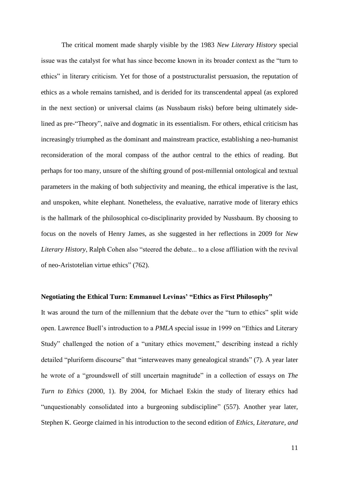The critical moment made sharply visible by the 1983 *New Literary History* special issue was the catalyst for what has since become known in its broader context as the "turn to ethics" in literary criticism. Yet for those of a poststructuralist persuasion, the reputation of ethics as a whole remains tarnished, and is derided for its transcendental appeal (as explored in the next section) or universal claims (as Nussbaum risks) before being ultimately sidelined as pre-"Theory", naïve and dogmatic in its essentialism. For others, ethical criticism has increasingly triumphed as the dominant and mainstream practice, establishing a neo-humanist reconsideration of the moral compass of the author central to the ethics of reading. But perhaps for too many, unsure of the shifting ground of post-millennial ontological and textual parameters in the making of both subjectivity and meaning, the ethical imperative is the last, and unspoken, white elephant. Nonetheless, the evaluative, narrative mode of literary ethics is the hallmark of the philosophical co-disciplinarity provided by Nussbaum. By choosing to focus on the novels of Henry James, as she suggested in her reflections in 2009 for *New Literary History*, Ralph Cohen also "steered the debate... to a close affiliation with the revival of neo-Aristotelian virtue ethics" (762).

### **Negotiating the Ethical Turn: Emmanuel Levinas' "Ethics as First Philosophy"**

It was around the turn of the millennium that the debate over the "turn to ethics" split wide open. Lawrence Buell's introduction to a *PMLA* special issue in 1999 on "Ethics and Literary Study" challenged the notion of a "unitary ethics movement," describing instead a richly detailed "pluriform discourse" that "interweaves many genealogical strands" (7). A year later he wrote of a "groundswell of still uncertain magnitude" in a collection of essays on *The Turn to Ethics* (2000, 1). By 2004, for Michael Eskin the study of literary ethics had "unquestionably consolidated into a burgeoning subdiscipline" (557). Another year later, Stephen K. George claimed in his introduction to the second edition of *Ethics, Literature, and*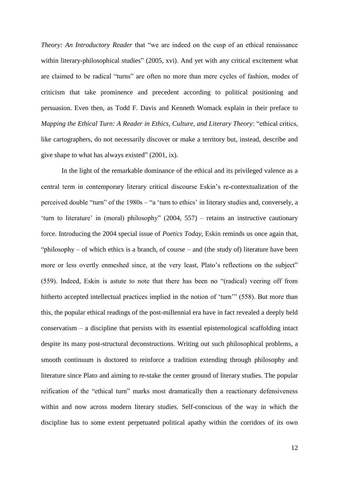*Theory: An Introductory Reader* that "we are indeed on the cusp of an ethical renaissance within literary-philosophical studies" (2005, xvi). And yet with any critical excitement what are claimed to be radical "turns" are often no more than mere cycles of fashion, modes of criticism that take prominence and precedent according to political positioning and persuasion. Even then, as Todd F. Davis and Kenneth Womack explain in their preface to *Mapping the Ethical Turn: A Reader in Ethics, Culture, and Literary Theory*: "ethical critics, like cartographers, do not necessarily discover or make a territory but, instead, describe and give shape to what has always existed" (2001, ix).

In the light of the remarkable dominance of the ethical and its privileged valence as a central term in contemporary literary critical discourse Eskin's re-contextualization of the perceived double "turn" of the 1980s – "a 'turn to ethics' in literary studies and, conversely, a 'turn to literature' in (moral) philosophy" (2004, 557) – retains an instructive cautionary force. Introducing the 2004 special issue of *Poetics Today*, Eskin reminds us once again that, "philosophy – of which ethics is a branch, of course – and (the study of) literature have been more or less overtly enmeshed since, at the very least, Plato's reflections on the subject" (559). Indeed, Eskin is astute to note that there has been no "(radical) veering off from hitherto accepted intellectual practices implied in the notion of 'turn'" (558). But more than this, the popular ethical readings of the post-millennial era have in fact revealed a deeply held conservatism – a discipline that persists with its essential epistemological scaffolding intact despite its many post-structural deconstructions. Writing out such philosophical problems, a smooth continuum is doctored to reinforce a tradition extending through philosophy and literature since Plato and aiming to re-stake the center ground of literary studies. The popular reification of the "ethical turn" marks most dramatically then a reactionary defensiveness within and now across modern literary studies. Self-conscious of the way in which the discipline has to some extent perpetuated political apathy within the corridors of its own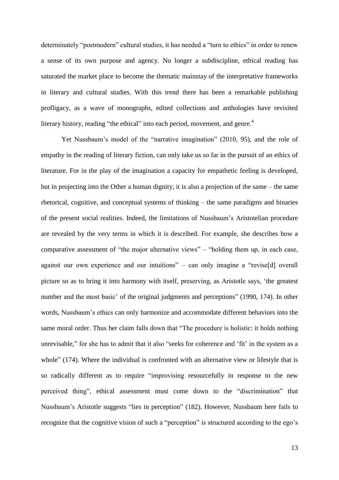determinately "postmodern" cultural studies, it has needed a "turn to ethics" in order to renew a sense of its own purpose and agency. No longer a subdiscipline, ethical reading has saturated the market place to become the thematic mainstay of the interpretative frameworks in literary and cultural studies. With this trend there has been a remarkable publishing profligacy, as a wave of monographs, edited collections and anthologies have revisited literary history, reading "the ethical" into each period, movement, and genre.<sup>4</sup>

Yet Nussbaum's model of the "narrative imagination" (2010, 95), and the role of empathy in the reading of literary fiction, can only take us so far in the pursuit of an ethics of literature. For in the play of the imagination a capacity for empathetic feeling is developed, but in projecting into the Other a human dignity, it is also a projection of the same – the same rhetorical, cognitive, and conceptual systems of thinking – the same paradigms and binaries of the present social realities. Indeed, the limitations of Nussbaum's Aristotelian procedure are revealed by the very terms in which it is described. For example, she describes how a comparative assessment of "the major alternative views" – "holding them up, in each case, against our own experience and our intuitions" – can only imagine a "revise[d] overall picture so as to bring it into harmony with itself, preserving, as Aristotle says, 'the greatest number and the most basic' of the original judgments and perceptions" (1990, 174). In other words, Nussbaum's ethics can only harmonize and accommodate different behaviors into the same moral order. Thus her claim falls down that "The procedure is holistic: it holds nothing unrevisable," for she has to admit that it also "seeks for coherence and 'fit' in the system as a whole" (174). Where the individual is confronted with an alternative view or lifestyle that is so radically different as to require "improvising resourcefully in response to the new perceived thing", ethical assessment must come down to the "discrimination" that Nussbaum's Aristotle suggests "lies in perception" (182). However, Nussbaum here fails to recognize that the cognitive vision of such a "perception" is structured according to the ego's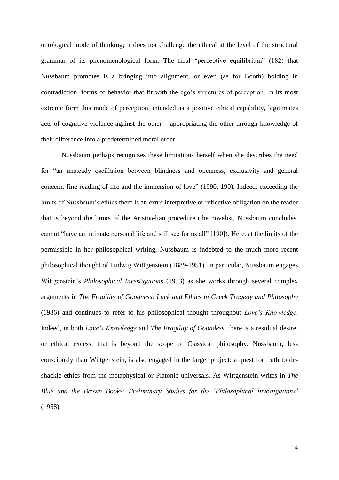ontological mode of thinking; it does not challenge the ethical at the level of the structural grammar of its phenomenological form. The final "perceptive equilibrium" (182) that Nussbaum promotes is a bringing into alignment, or even (as for Booth) holding in contradiction, forms of behavior that fit with the ego's structures of perception. In its most extreme form this mode of perception, intended as a positive ethical capability, legitimates acts of cognitive violence against the other – appropriating the other through knowledge of their difference into a predetermined moral order.

Nussbaum perhaps recognizes these limitations herself when she describes the need for "an unsteady oscillation between blindness and openness, exclusivity and general concern, fine reading of life and the immersion of love" (1990, 190). Indeed, exceeding the limits of Nussbaum's ethics there is an *extra* interpretive or reflective obligation on the reader that is beyond the limits of the Aristotelian procedure (the novelist, Nussbaum concludes, cannot "have an intimate personal life and still see for us all" [190]). Here, at the limits of the permissible in her philosophical writing, Nussbaum is indebted to the much more recent philosophical thought of Ludwig Wittgenstein (1889-1951). In particular, Nussbaum engages Wittgenstein's *Philosophical Investigations* (1953) as she works through several complex arguments in *The Fragility of Goodness: Luck and Ethics in Greek Tragedy and Philosophy*  (1986) and continues to refer to his philosophical thought throughout *Love's Knowledge*. Indeed, in both *Love's Knowledge* and *The Fragility of Goondess*, there is a residual desire, or ethical excess, that is beyond the scope of Classical philosophy. Nussbaum, less consciously than Wittgenstein, is also engaged in the larger project: a quest for truth to deshackle ethics from the metaphysical or Platonic universals. As Wittgenstein writes in *The Blue and the Brown Books: Preliminary Studies for the 'Philosophical Investigations'* (1958):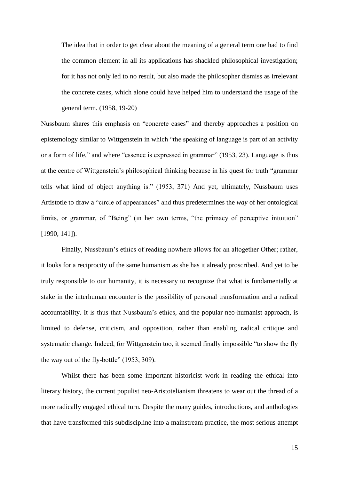The idea that in order to get clear about the meaning of a general term one had to find the common element in all its applications has shackled philosophical investigation; for it has not only led to no result, but also made the philosopher dismiss as irrelevant the concrete cases, which alone could have helped him to understand the usage of the general term. (1958, 19-20)

Nussbaum shares this emphasis on "concrete cases" and thereby approaches a position on epistemology similar to Wittgenstein in which "the speaking of language is part of an activity or a form of life," and where "essence is expressed in grammar" (1953, 23). Language is thus at the centre of Wittgenstein's philosophical thinking because in his quest for truth "grammar tells what kind of object anything is." (1953, 371) And yet, ultimately, Nussbaum uses Artistotle to draw a "circle of appearances" and thus predetermines the *way* of her ontological limits, or grammar, of "Being" (in her own terms, "the primacy of perceptive intuition" [1990, 141]).

Finally, Nussbaum's ethics of reading nowhere allows for an altogether Other; rather, it looks for a reciprocity of the same humanism as she has it already proscribed. And yet to be truly responsible to our humanity, it is necessary to recognize that what is fundamentally at stake in the interhuman encounter is the possibility of personal transformation and a radical accountability. It is thus that Nussbaum's ethics, and the popular neo-humanist approach, is limited to defense, criticism, and opposition, rather than enabling radical critique and systematic change. Indeed, for Wittgenstein too, it seemed finally impossible "to show the fly the way out of the fly-bottle" (1953, 309).

Whilst there has been some important historicist work in reading the ethical into literary history, the current populist neo-Aristotelianism threatens to wear out the thread of a more radically engaged ethical turn. Despite the many guides, introductions, and anthologies that have transformed this subdiscipline into a mainstream practice, the most serious attempt

15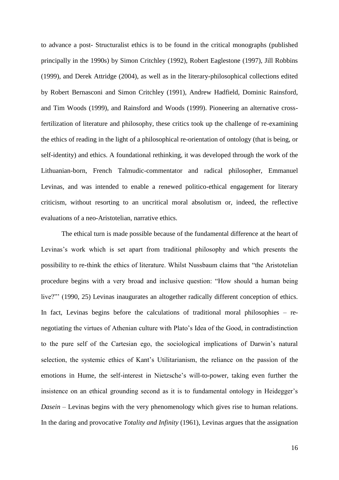to advance a post- Structuralist ethics is to be found in the critical monographs (published principally in the 1990s) by Simon Critchley (1992), Robert Eaglestone (1997), Jill Robbins (1999), and Derek Attridge (2004), as well as in the literary-philosophical collections edited by Robert Bernasconi and Simon Critchley (1991), Andrew Hadfield, Dominic Rainsford, and Tim Woods (1999), and Rainsford and Woods (1999). Pioneering an alternative crossfertilization of literature and philosophy, these critics took up the challenge of re-examining the ethics of reading in the light of a philosophical re-orientation of ontology (that is being, or self-identity) and ethics. A foundational rethinking, it was developed through the work of the Lithuanian-born, French Talmudic-commentator and radical philosopher, Emmanuel Levinas, and was intended to enable a renewed politico-ethical engagement for literary criticism, without resorting to an uncritical moral absolutism or, indeed, the reflective evaluations of a neo-Aristotelian, narrative ethics.

The ethical turn is made possible because of the fundamental difference at the heart of Levinas's work which is set apart from traditional philosophy and which presents the possibility to re-think the ethics of literature. Whilst Nussbaum claims that "the Aristotelian procedure begins with a very broad and inclusive question: "How should a human being live?"' (1990, 25) Levinas inaugurates an altogether radically different conception of ethics. In fact, Levinas begins before the calculations of traditional moral philosophies – renegotiating the virtues of Athenian culture with Plato's Idea of the Good, in contradistinction to the pure self of the Cartesian ego, the sociological implications of Darwin's natural selection, the systemic ethics of Kant's Utilitarianism, the reliance on the passion of the emotions in Hume, the self-interest in Nietzsche's will-to-power, taking even further the insistence on an ethical grounding second as it is to fundamental ontology in Heidegger's *Dasein –* Levinas begins with the very phenomenology which gives rise to human relations. In the daring and provocative *Totality and Infinity* (1961), Levinas argues that the assignation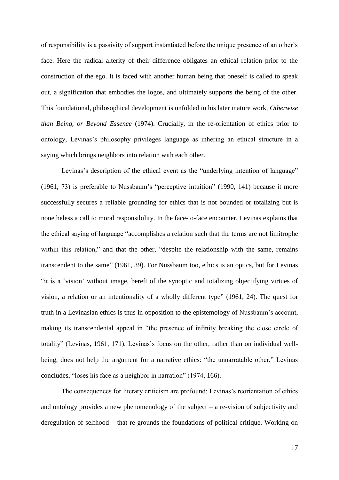of responsibility is a passivity of support instantiated before the unique presence of an other's face. Here the radical alterity of their difference obligates an ethical relation prior to the construction of the ego. It is faced with another human being that oneself is called to speak out, a signification that embodies the logos, and ultimately supports the being of the other. This foundational, philosophical development is unfolded in his later mature work, *Otherwise than Being, or Beyond Essence* (1974). Crucially, in the re-orientation of ethics prior to ontology, Levinas's philosophy privileges language as inhering an ethical structure in a saying which brings neighbors into relation with each other.

Levinas's description of the ethical event as the "underlying intention of language" (1961, 73) is preferable to Nussbaum's "perceptive intuition" (1990, 141) because it more successfully secures a reliable grounding for ethics that is not bounded or totalizing but is nonetheless a call to moral responsibility. In the face-to-face encounter, Levinas explains that the ethical saying of language "accomplishes a relation such that the terms are not limitrophe within this relation," and that the other, "despite the relationship with the same, remains transcendent to the same" (1961, 39). For Nussbaum too, ethics is an optics, but for Levinas "it is a 'vision' without image, bereft of the synoptic and totalizing objectifying virtues of vision, a relation or an intentionality of a wholly different type" (1961, 24). The quest for truth in a Levinasian ethics is thus in opposition to the epistemology of Nussbaum's account, making its transcendental appeal in "the presence of infinity breaking the close circle of totality" (Levinas, 1961, 171). Levinas's focus on the other, rather than on individual wellbeing, does not help the argument for a narrative ethics: "the unnarratable other," Levinas concludes, "loses his face as a neighbor in narration" (1974, 166).

The consequences for literary criticism are profound; Levinas's reorientation of ethics and ontology provides a new phenomenology of the subject – a re-vision of subjectivity and deregulation of selfhood – that re-grounds the foundations of political critique. Working on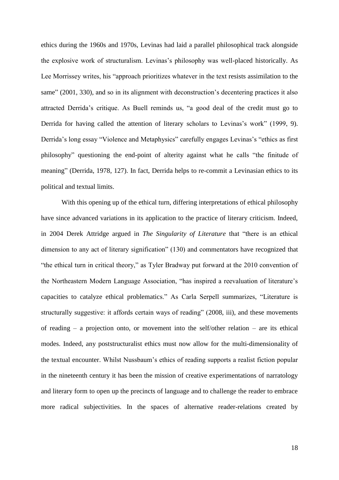ethics during the 1960s and 1970s, Levinas had laid a parallel philosophical track alongside the explosive work of structuralism. Levinas's philosophy was well-placed historically. As Lee Morrissey writes, his "approach prioritizes whatever in the text resists assimilation to the same" (2001, 330), and so in its alignment with deconstruction's decentering practices it also attracted Derrida's critique. As Buell reminds us, "a good deal of the credit must go to Derrida for having called the attention of literary scholars to Levinas's work" (1999, 9). Derrida's long essay "Violence and Metaphysics" carefully engages Levinas's "ethics as first philosophy" questioning the end-point of alterity against what he calls "the finitude of meaning" (Derrida, 1978, 127). In fact, Derrida helps to re-commit a Levinasian ethics to its political and textual limits.

With this opening up of the ethical turn, differing interpretations of ethical philosophy have since advanced variations in its application to the practice of literary criticism. Indeed, in 2004 Derek Attridge argued in *The Singularity of Literature* that "there is an ethical dimension to any act of literary signification" (130) and commentators have recognized that "the ethical turn in critical theory," as Tyler Bradway put forward at the 2010 convention of the Northeastern Modern Language Association, "has inspired a reevaluation of literature's capacities to catalyze ethical problematics." As Carla Serpell summarizes, "Literature is structurally suggestive: it affords certain ways of reading" (2008, iii), and these movements of reading – a projection onto, or movement into the self/other relation – are its ethical modes. Indeed, any poststructuralist ethics must now allow for the multi-dimensionality of the textual encounter. Whilst Nussbaum's ethics of reading supports a realist fiction popular in the nineteenth century it has been the mission of creative experimentations of narratology and literary form to open up the precincts of language and to challenge the reader to embrace more radical subjectivities. In the spaces of alternative reader-relations created by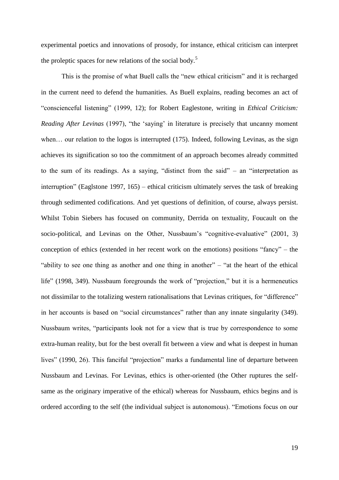experimental poetics and innovations of prosody, for instance, ethical criticism can interpret the proleptic spaces for new relations of the social body.<sup>5</sup>

This is the promise of what Buell calls the "new ethical criticism" and it is recharged in the current need to defend the humanities. As Buell explains, reading becomes an act of "conscienceful listening" (1999, 12); for Robert Eaglestone, writing in *Ethical Criticism: Reading After Levinas* (1997), "the 'saying' in literature is precisely that uncanny moment when... our relation to the logos is interrupted (175). Indeed, following Levinas, as the sign achieves its signification so too the commitment of an approach becomes already committed to the sum of its readings. As a saying, "distinct from the said" – an "interpretation as interruption" (Eaglstone 1997, 165) – ethical criticism ultimately serves the task of breaking through sedimented codifications. And yet questions of definition, of course, always persist. Whilst Tobin Siebers has focused on community, Derrida on textuality, Foucault on the socio-political, and Levinas on the Other, Nussbaum's "cognitive-evaluative" (2001, 3) conception of ethics (extended in her recent work on the emotions) positions "fancy" – the "ability to see one thing as another and one thing in another" – "at the heart of the ethical life" (1998, 349). Nussbaum foregrounds the work of "projection," but it is a hermeneutics not dissimilar to the totalizing western rationalisations that Levinas critiques, for "difference" in her accounts is based on "social circumstances" rather than any innate singularity (349). Nussbaum writes, "participants look not for a view that is true by correspondence to some extra-human reality, but for the best overall fit between a view and what is deepest in human lives" (1990, 26). This fanciful "projection" marks a fundamental line of departure between Nussbaum and Levinas. For Levinas, ethics is other-oriented (the Other ruptures the selfsame as the originary imperative of the ethical) whereas for Nussbaum, ethics begins and is ordered according to the self (the individual subject is autonomous). "Emotions focus on our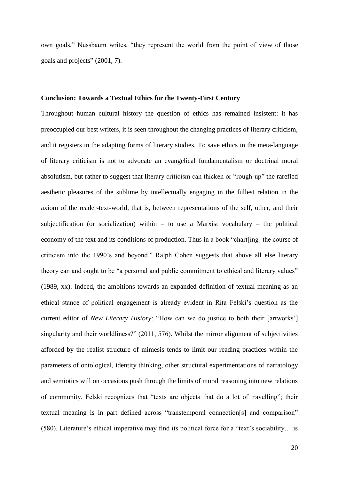own goals," Nussbaum writes, "they represent the world from the point of view of those goals and projects" (2001, 7).

#### **Conclusion: Towards a Textual Ethics for the Twenty-First Century**

Throughout human cultural history the question of ethics has remained insistent: it has preoccupied our best writers, it is seen throughout the changing practices of literary criticism, and it registers in the adapting forms of literary studies. To save ethics in the meta-language of literary criticism is not to advocate an evangelical fundamentalism or doctrinal moral absolutism, but rather to suggest that literary criticism can thicken or "rough-up" the rarefied aesthetic pleasures of the sublime by intellectually engaging in the fullest relation in the axiom of the reader-text-world, that is, between representations of the self, other, and their subjectification (or socialization) within  $-$  to use a Marxist vocabulary  $-$  the political economy of the text and its conditions of production. Thus in a book "chart[ing] the course of criticism into the 1990's and beyond," Ralph Cohen suggests that above all else literary theory can and ought to be "a personal and public commitment to ethical and literary values" (1989, xx). Indeed, the ambitions towards an expanded definition of textual meaning as an ethical stance of political engagement is already evident in Rita Felski's question as the current editor of *New Literary History*: "How can we do justice to both their [artworks'] singularity and their worldliness?" (2011, 576). Whilst the mirror alignment of subjectivities afforded by the realist structure of mimesis tends to limit our reading practices within the parameters of ontological, identity thinking, other structural experimentations of narratology and semiotics will on occasions push through the limits of moral reasoning into new relations of community. Felski recognizes that "texts are objects that do a lot of travelling"; their textual meaning is in part defined across "transtemporal connection[s] and comparison" (580). Literature's ethical imperative may find its political force for a "text's sociability… is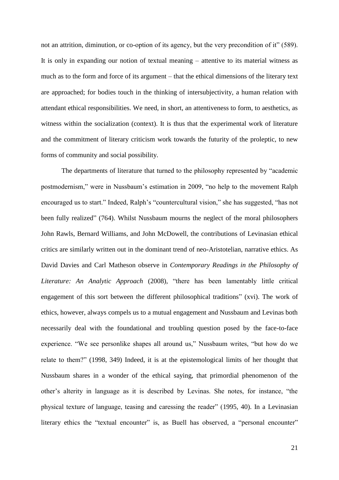not an attrition, diminution, or co-option of its agency, but the very precondition of it" (589). It is only in expanding our notion of textual meaning – attentive to its material witness as much as to the form and force of its argument – that the ethical dimensions of the literary text are approached; for bodies touch in the thinking of intersubjectivity, a human relation with attendant ethical responsibilities. We need, in short, an attentiveness to form, to aesthetics, as witness within the socialization (context). It is thus that the experimental work of literature and the commitment of literary criticism work towards the futurity of the proleptic, to new forms of community and social possibility.

The departments of literature that turned to the philosophy represented by "academic postmodernism," were in Nussbaum's estimation in 2009, "no help to the movement Ralph encouraged us to start." Indeed, Ralph's "countercultural vision," she has suggested, "has not been fully realized" (764). Whilst Nussbaum mourns the neglect of the moral philosophers John Rawls, Bernard Williams, and John McDowell, the contributions of Levinasian ethical critics are similarly written out in the dominant trend of neo-Aristotelian, narrative ethics. As David Davies and Carl Matheson observe in *Contemporary Readings in the Philosophy of Literature: An Analytic Approach* (2008), "there has been lamentably little critical engagement of this sort between the different philosophical traditions" (xvi). The work of ethics, however, always compels us to a mutual engagement and Nussbaum and Levinas both necessarily deal with the foundational and troubling question posed by the face-to-face experience. "We see personlike shapes all around us," Nussbaum writes, "but how do we relate to them?" (1998, 349) Indeed, it is at the epistemological limits of her thought that Nussbaum shares in a wonder of the ethical saying, that primordial phenomenon of the other's alterity in language as it is described by Levinas. She notes, for instance, "the physical texture of language, teasing and caressing the reader" (1995, 40). In a Levinasian literary ethics the "textual encounter" is, as Buell has observed, a "personal encounter"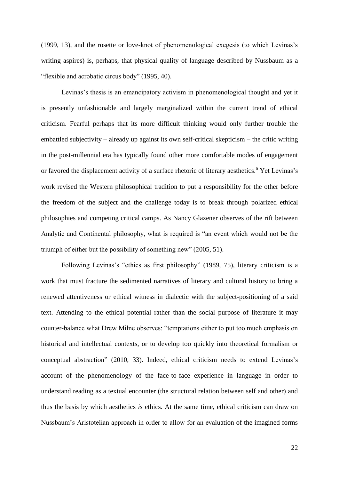(1999, 13), and the rosette or love-knot of phenomenological exegesis (to which Levinas's writing aspires) is, perhaps, that physical quality of language described by Nussbaum as a "flexible and acrobatic circus body" (1995, 40).

Levinas's thesis is an emancipatory activism in phenomenological thought and yet it is presently unfashionable and largely marginalized within the current trend of ethical criticism. Fearful perhaps that its more difficult thinking would only further trouble the embattled subjectivity – already up against its own self-critical skepticism – the critic writing in the post-millennial era has typically found other more comfortable modes of engagement or favored the displacement activity of a surface rhetoric of literary aesthetics.<sup>6</sup> Yet Levinas's work revised the Western philosophical tradition to put a responsibility for the other before the freedom of the subject and the challenge today is to break through polarized ethical philosophies and competing critical camps. As Nancy Glazener observes of the rift between Analytic and Continental philosophy, what is required is "an event which would not be the triumph of either but the possibility of something new" (2005, 51).

Following Levinas's "ethics as first philosophy" (1989, 75), literary criticism is a work that must fracture the sedimented narratives of literary and cultural history to bring a renewed attentiveness or ethical witness in dialectic with the subject-positioning of a said text. Attending to the ethical potential rather than the social purpose of literature it may counter-balance what Drew Milne observes: "temptations either to put too much emphasis on historical and intellectual contexts, or to develop too quickly into theoretical formalism or conceptual abstraction" (2010, 33). Indeed, ethical criticism needs to extend Levinas's account of the phenomenology of the face-to-face experience in language in order to understand reading as a textual encounter (the structural relation between self and other) and thus the basis by which aesthetics *is* ethics. At the same time, ethical criticism can draw on Nussbaum's Aristotelian approach in order to allow for an evaluation of the imagined forms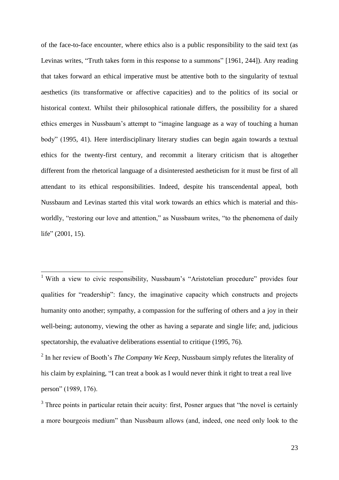of the face-to-face encounter, where ethics also is a public responsibility to the said text (as Levinas writes, "Truth takes form in this response to a summons" [1961, 244]). Any reading that takes forward an ethical imperative must be attentive both to the singularity of textual aesthetics (its transformative or affective capacities) and to the politics of its social or historical context. Whilst their philosophical rationale differs, the possibility for a shared ethics emerges in Nussbaum's attempt to "imagine language as a way of touching a human body" (1995, 41). Here interdisciplinary literary studies can begin again towards a textual ethics for the twenty-first century, and recommit a literary criticism that is altogether different from the rhetorical language of a disinterested aestheticism for it must be first of all attendant to its ethical responsibilities. Indeed, despite his transcendental appeal, both Nussbaum and Levinas started this vital work towards an ethics which is material and thisworldly, "restoring our love and attention," as Nussbaum writes, "to the phenomena of daily life" (2001, 15).

 $\overline{a}$ 

<sup>&</sup>lt;sup>1</sup> With a view to civic responsibility, Nussbaum's "Aristotelian procedure" provides four qualities for "readership": fancy, the imaginative capacity which constructs and projects humanity onto another; sympathy, a compassion for the suffering of others and a joy in their well-being; autonomy, viewing the other as having a separate and single life; and, judicious spectatorship, the evaluative deliberations essential to critique (1995, 76).

<sup>2</sup> In her review of Booth's *The Company We Keep*, Nussbaum simply refutes the literality of his claim by explaining, "I can treat a book as I would never think it right to treat a real live person" (1989, 176).

 $3$  Three points in particular retain their acuity: first, Posner argues that "the novel is certainly a more bourgeois medium" than Nussbaum allows (and, indeed, one need only look to the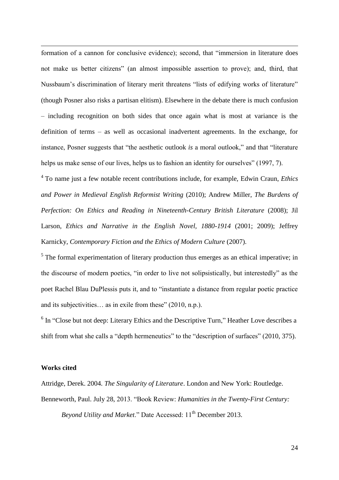$\overline{a}$ formation of a cannon for conclusive evidence); second, that "immersion in literature does not make us better citizens" (an almost impossible assertion to prove); and, third, that Nussbaum's discrimination of literary merit threatens "lists of edifying works of literature" (though Posner also risks a partisan elitism). Elsewhere in the debate there is much confusion – including recognition on both sides that once again what is most at variance is the definition of terms – as well as occasional inadvertent agreements. In the exchange, for instance, Posner suggests that "the aesthetic outlook *is* a moral outlook," and that "literature helps us make sense of our lives, helps us to fashion an identity for ourselves" (1997, 7).

4 To name just a few notable recent contributions include, for example, Edwin Craun, *Ethics and Power in Medieval English Reformist Writing* (2010); Andrew Miller, *The Burdens of Perfection: On Ethics and Reading in Nineteenth-Century British Literature* (2008); Jil Larson, *Ethics and Narrative in the English Novel, 1880-1914* (2001; 2009); Jeffrey Karnicky, *Contemporary Fiction and the Ethics of Modern Culture* (2007).

 $<sup>5</sup>$  The formal experimentation of literary production thus emerges as an ethical imperative; in</sup> the discourse of modern poetics, "in order to live not solipsistically, but interestedly" as the poet Rachel Blau DuPlessis puts it, and to "instantiate a distance from regular poetic practice and its subjectivities… as in exile from these" (2010, n.p.).

<sup>6</sup> In "Close but not deep: Literary Ethics and the Descriptive Turn," Heather Love describes a shift from what she calls a "depth hermeneutics" to the "description of surfaces" (2010, 375).

#### **Works cited**

Attridge, Derek. 2004. *The Singularity of Literature*. London and New York: Routledge. Benneworth, Paul. July 28, 2013. "Book Review: *Humanities in the Twenty-First Century:* 

*Bevond Utility and Market.*" Date Accessed: 11<sup>th</sup> December 2013.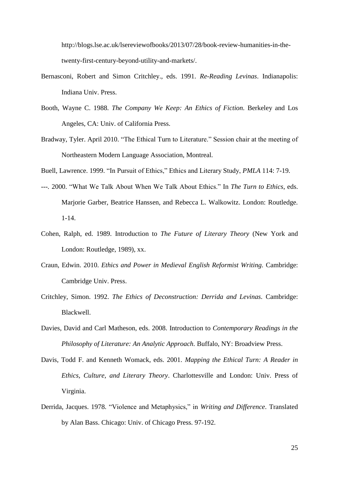http://blogs.lse.ac.uk/lsereviewofbooks/2013/07/28/book-review-humanities-in-thetwenty-first-century-beyond-utility-and-markets/.

- Bernasconi, Robert and Simon Critchley., eds. 1991. *Re-Reading Levinas*. Indianapolis: Indiana Univ. Press.
- Booth, Wayne C. 1988. *The Company We Keep: An Ethics of Fiction.* Berkeley and Los Angeles, CA: Univ. of California Press.
- Bradway, Tyler. April 2010. "The Ethical Turn to Literature." Session chair at the meeting of Northeastern Modern Language Association, Montreal.

Buell, Lawrence. 1999. "In Pursuit of Ethics," Ethics and Literary Study, *PMLA* 114: 7-19.

- *---.* 2000. "What We Talk About When We Talk About Ethics." In *The Turn to Ethics*, eds. Marjorie Garber, Beatrice Hanssen, and Rebecca L. Walkowitz. London: Routledge. 1-14.
- Cohen, Ralph, ed. 1989. Introduction to *The Future of Literary Theory* (New York and London: Routledge, 1989), xx.
- Craun, Edwin. 2010. *Ethics and Power in Medieval English Reformist Writing.* Cambridge: Cambridge Univ. Press.
- Critchley, Simon. 1992. *The Ethics of Deconstruction: Derrida and Levinas.* Cambridge: Blackwell.
- Davies, David and Carl Matheson, eds. 2008. Introduction to *Contemporary Readings in the Philosophy of Literature: An Analytic Approach. Buffalo, NY: Broadview Press.*
- Davis, Todd F. and Kenneth Womack, eds. 2001. *Mapping the Ethical Turn: A Reader in Ethics, Culture, and Literary Theory*. Charlottesville and London: Univ. Press of Virginia.
- Derrida, Jacques. 1978. "Violence and Metaphysics," in *Writing and Difference*. Translated by Alan Bass. Chicago: Univ. of Chicago Press. 97-192.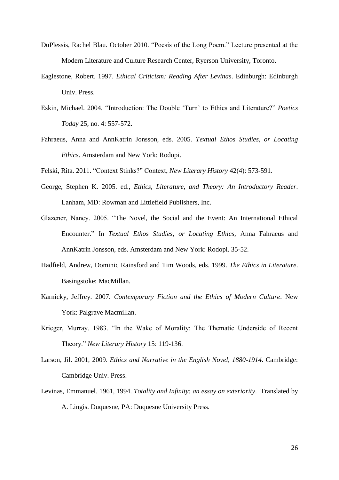- DuPlessis, Rachel Blau. October 2010. "Poesis of the Long Poem." Lecture presented at the Modern Literature and Culture Research Center, Ryerson University, Toronto.
- Eaglestone, Robert. 1997. *Ethical Criticism: Reading After Levinas*. Edinburgh: Edinburgh Univ. Press.
- Eskin, Michael. 2004. "Introduction: The Double 'Turn' to Ethics and Literature?" *Poetics Today* 25, no. 4: 557-572.
- Fahraeus, Anna and AnnKatrin Jonsson, eds. 2005. *Textual Ethos Studies, or Locating Ethics*. Amsterdam and New York: Rodopi.
- Felski, Rita. 2011. "Context Stinks?" Context, *New Literary History* 42(4): 573-591.
- George, Stephen K. 2005. ed., *Ethics, Literature, and Theory: An Introductory Reader*. Lanham, MD: Rowman and Littlefield Publishers, Inc.
- Glazener, Nancy. 2005. "The Novel, the Social and the Event: An International Ethical Encounter." In *Textual Ethos Studies, or Locating Ethics*, Anna Fahraeus and AnnKatrin Jonsson, eds. Amsterdam and New York: Rodopi. 35-52.
- Hadfield, Andrew, Dominic Rainsford and Tim Woods, eds. 1999. *The Ethics in Literature*. Basingstoke: MacMillan.
- Karnicky, Jeffrey. 2007. *Contemporary Fiction and the Ethics of Modern Culture*. New York: Palgrave Macmillan.
- Krieger, Murray. 1983. "In the Wake of Morality: The Thematic Underside of Recent Theory." *New Literary History* 15: 119-136.
- Larson, Jil. 2001, 2009. *Ethics and Narrative in the English Novel, 1880-1914*. Cambridge: Cambridge Univ. Press.
- Levinas, Emmanuel. 1961, 1994. *Totality and Infinity: an essay on exteriority*. Translated by A. Lingis. Duquesne, PA: Duquesne University Press.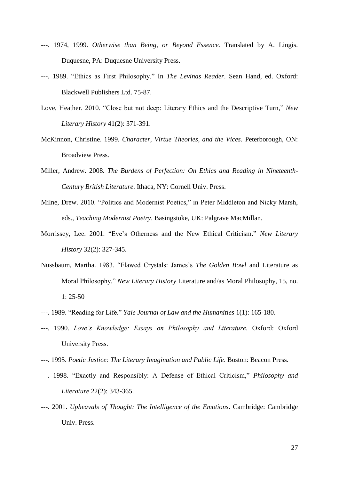- *---.* 1974, 1999. *Otherwise than Being, or Beyond Essence.* Translated by A. Lingis. Duquesne, PA: Duquesne University Press.
- *---.* 1989. "Ethics as First Philosophy." In *The Levinas Reader*. Sean Hand, ed. Oxford: Blackwell Publishers Ltd. 75-87.
- Love, Heather. 2010. "Close but not deep: Literary Ethics and the Descriptive Turn," *New Literary History* 41(2): 371-391.
- McKinnon, Christine. 1999. *Character, Virtue Theories, and the Vices*. Peterborough, ON: Broadview Press.
- Miller, Andrew. 2008. *The Burdens of Perfection: On Ethics and Reading in Nineteenth-Century British Literature*. Ithaca, NY: Cornell Univ. Press.
- Milne, Drew. 2010. "Politics and Modernist Poetics," in Peter Middleton and Nicky Marsh, eds., *Teaching Modernist Poetry*. Basingstoke, UK: Palgrave MacMillan.
- Morrissey, Lee. 2001. "Eve's Otherness and the New Ethical Criticism." *New Literary History* 32(2): 327-345.
- Nussbaum, Martha. 1983. "Flawed Crystals: James's *The Golden Bowl* and Literature as Moral Philosophy." *New Literary History* Literature and/as Moral Philosophy, 15, no. 1: 25-50
- *---.* 1989. "Reading for Life." *Yale Journal of Law and the Humanities* 1(1): 165-180.
- *---.* 1990. *Love's Knowledge: Essays on Philosophy and Literature.* Oxford: Oxford University Press.
- *---.* 1995. *Poetic Justice: The Literary Imagination and Public Life*. Boston: Beacon Press.
- *---.* 1998. "Exactly and Responsibly: A Defense of Ethical Criticism," *Philosophy and Literature* 22(2): 343-365.
- *---.* 2001. *Upheavals of Thought: The Intelligence of the Emotions*. Cambridge: Cambridge Univ. Press.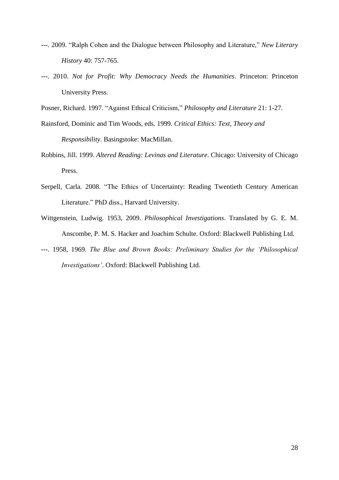- *---.* 2009. "Ralph Cohen and the Dialogue between Philosophy and Literature," *New Literary History* 40: 757-765.
- *---.* 2010. *Not for Profit: Why Democracy Needs the Humanities*. Princeton: Princeton University Press.

Posner, Richard. 1997. "Against Ethical Criticism," *Philosophy and Literature* 21: 1-27.

- Rainsford, Dominic and Tim Woods, eds. 1999. *Critical Ethics: Text, Theory and Responsibility*. Basingstoke: MacMillan.
- Robbins, Jill. 1999. *Altered Reading: Levinas and Literature*. Chicago: University of Chicago Press.
- Serpell, Carla. 2008. "The Ethics of Uncertainty: Reading Twentieth Century American Literature." PhD diss., Harvard University.
- Wittgenstein, Ludwig. 1953, 2009. *Philosophical Investigations*. Translated by G. E. M. Anscombe, P. M. S. Hacker and Joachim Schulte. Oxford: Blackwell Publishing Ltd.
- *---.* 1958, 1969. *The Blue and Brown Books: Preliminary Studies for the 'Philosophical Investigations'*. Oxford: Blackwell Publishing Ltd.